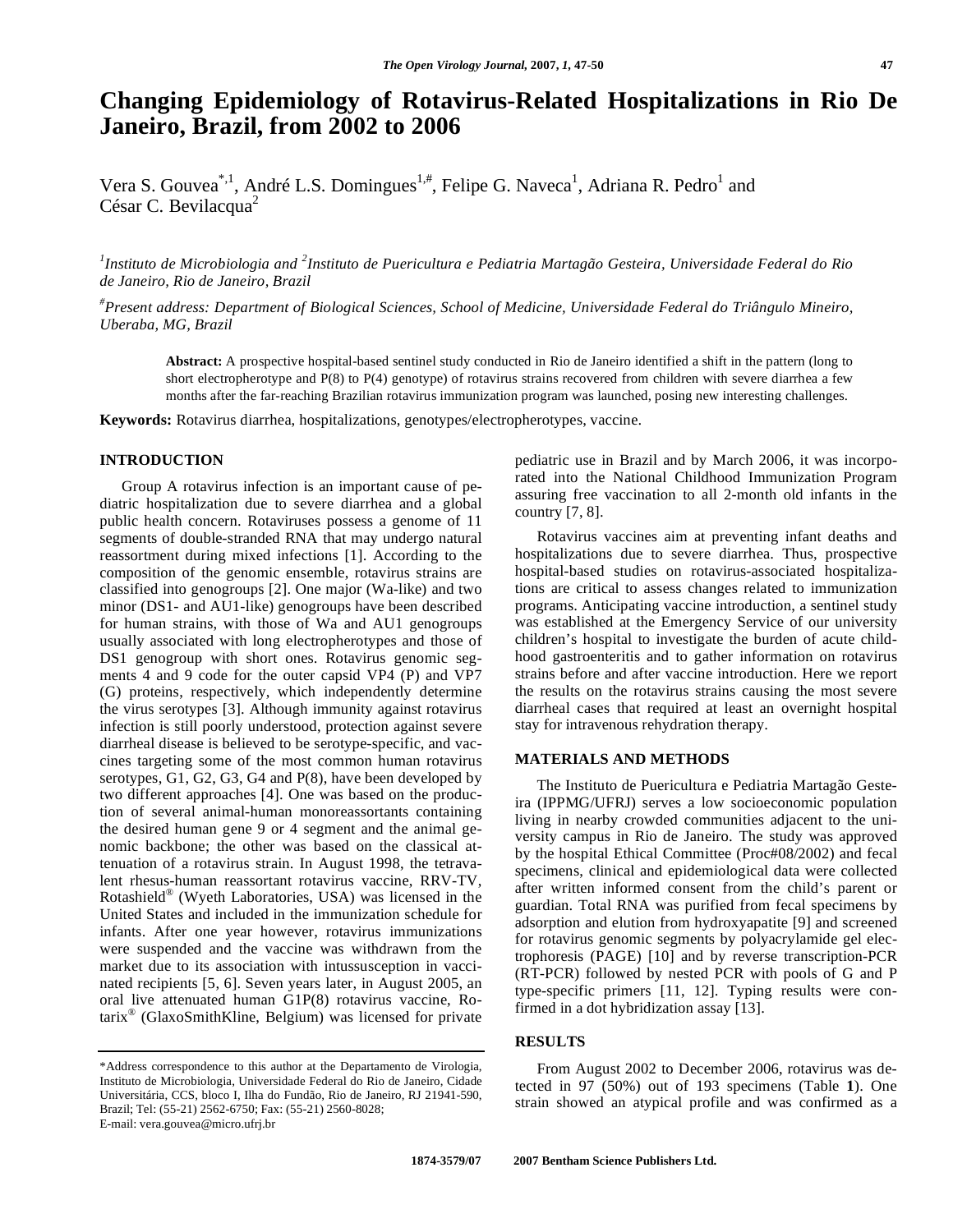# **Changing Epidemiology of Rotavirus-Related Hospitalizations in Rio De Janeiro, Brazil, from 2002 to 2006**

Vera S. Gouvea<sup>\*,1</sup>, André L.S. Domingues<sup>1,#</sup>, Felipe G. Naveca<sup>1</sup>, Adriana R. Pedro<sup>1</sup> and César C. Bevilacqua<sup>2</sup>

<sup>1</sup> Instituto de Microbiologia and <sup>2</sup> Instituto de Puericultura e Pediatria Martagão Gesteira, Universidade Federal do Rio *de Janeiro, Rio de Janeiro, Brazil* 

*# Present address: Department of Biological Sciences, School of Medicine, Universidade Federal do Triângulo Mineiro, Uberaba, MG, Brazil*

**Abstract:** A prospective hospital-based sentinel study conducted in Rio de Janeiro identified a shift in the pattern (long to short electropherotype and P(8) to P(4) genotype) of rotavirus strains recovered from children with severe diarrhea a few months after the far-reaching Brazilian rotavirus immunization program was launched, posing new interesting challenges.

**Keywords:** Rotavirus diarrhea, hospitalizations, genotypes/electropherotypes, vaccine.

## **INTRODUCTION**

 Group A rotavirus infection is an important cause of pediatric hospitalization due to severe diarrhea and a global public health concern. Rotaviruses possess a genome of 11 segments of double-stranded RNA that may undergo natural reassortment during mixed infections [1]. According to the composition of the genomic ensemble, rotavirus strains are classified into genogroups [2]. One major (Wa-like) and two minor (DS1- and AU1-like) genogroups have been described for human strains, with those of Wa and AU1 genogroups usually associated with long electropherotypes and those of DS1 genogroup with short ones. Rotavirus genomic segments 4 and 9 code for the outer capsid VP4 (P) and VP7 (G) proteins, respectively, which independently determine the virus serotypes [3]. Although immunity against rotavirus infection is still poorly understood, protection against severe diarrheal disease is believed to be serotype-specific, and vaccines targeting some of the most common human rotavirus serotypes, G1, G2, G3, G4 and P(8), have been developed by two different approaches [4]. One was based on the production of several animal-human monoreassortants containing the desired human gene 9 or 4 segment and the animal genomic backbone; the other was based on the classical attenuation of a rotavirus strain. In August 1998, the tetravalent rhesus-human reassortant rotavirus vaccine, RRV-TV, Rotashield® (Wyeth Laboratories, USA) was licensed in the United States and included in the immunization schedule for infants. After one year however, rotavirus immunizations were suspended and the vaccine was withdrawn from the market due to its association with intussusception in vaccinated recipients [5, 6]. Seven years later, in August 2005, an oral live attenuated human G1P(8) rotavirus vaccine, Rotarix® (GlaxoSmithKline, Belgium) was licensed for private

\*Address correspondence to this author at the Departamento de Virologia, Instituto de Microbiologia, Universidade Federal do Rio de Janeiro, Cidade Universitária, CCS, bloco I, Ilha do Fundão, Rio de Janeiro, RJ 21941-590, Brazil; Tel: (55-21) 2562-6750; Fax: (55-21) 2560-8028; E-mail: vera.gouvea@micro.ufrj.br

pediatric use in Brazil and by March 2006, it was incorporated into the National Childhood Immunization Program assuring free vaccination to all 2-month old infants in the country [7, 8].

 Rotavirus vaccines aim at preventing infant deaths and hospitalizations due to severe diarrhea. Thus, prospective hospital-based studies on rotavirus-associated hospitalizations are critical to assess changes related to immunization programs. Anticipating vaccine introduction, a sentinel study was established at the Emergency Service of our university children's hospital to investigate the burden of acute childhood gastroenteritis and to gather information on rotavirus strains before and after vaccine introduction. Here we report the results on the rotavirus strains causing the most severe diarrheal cases that required at least an overnight hospital stay for intravenous rehydration therapy.

## **MATERIALS AND METHODS**

 The Instituto de Puericultura e Pediatria Martagão Gesteira (IPPMG/UFRJ) serves a low socioeconomic population living in nearby crowded communities adjacent to the university campus in Rio de Janeiro. The study was approved by the hospital Ethical Committee (Proc#08/2002) and fecal specimens, clinical and epidemiological data were collected after written informed consent from the child's parent or guardian. Total RNA was purified from fecal specimens by adsorption and elution from hydroxyapatite [9] and screened for rotavirus genomic segments by polyacrylamide gel electrophoresis (PAGE) [10] and by reverse transcription-PCR (RT-PCR) followed by nested PCR with pools of G and P type-specific primers [11, 12]. Typing results were confirmed in a dot hybridization assay [13].

# **RESULTS**

 From August 2002 to December 2006, rotavirus was detected in 97 (50%) out of 193 specimens (Table **1**). One strain showed an atypical profile and was confirmed as a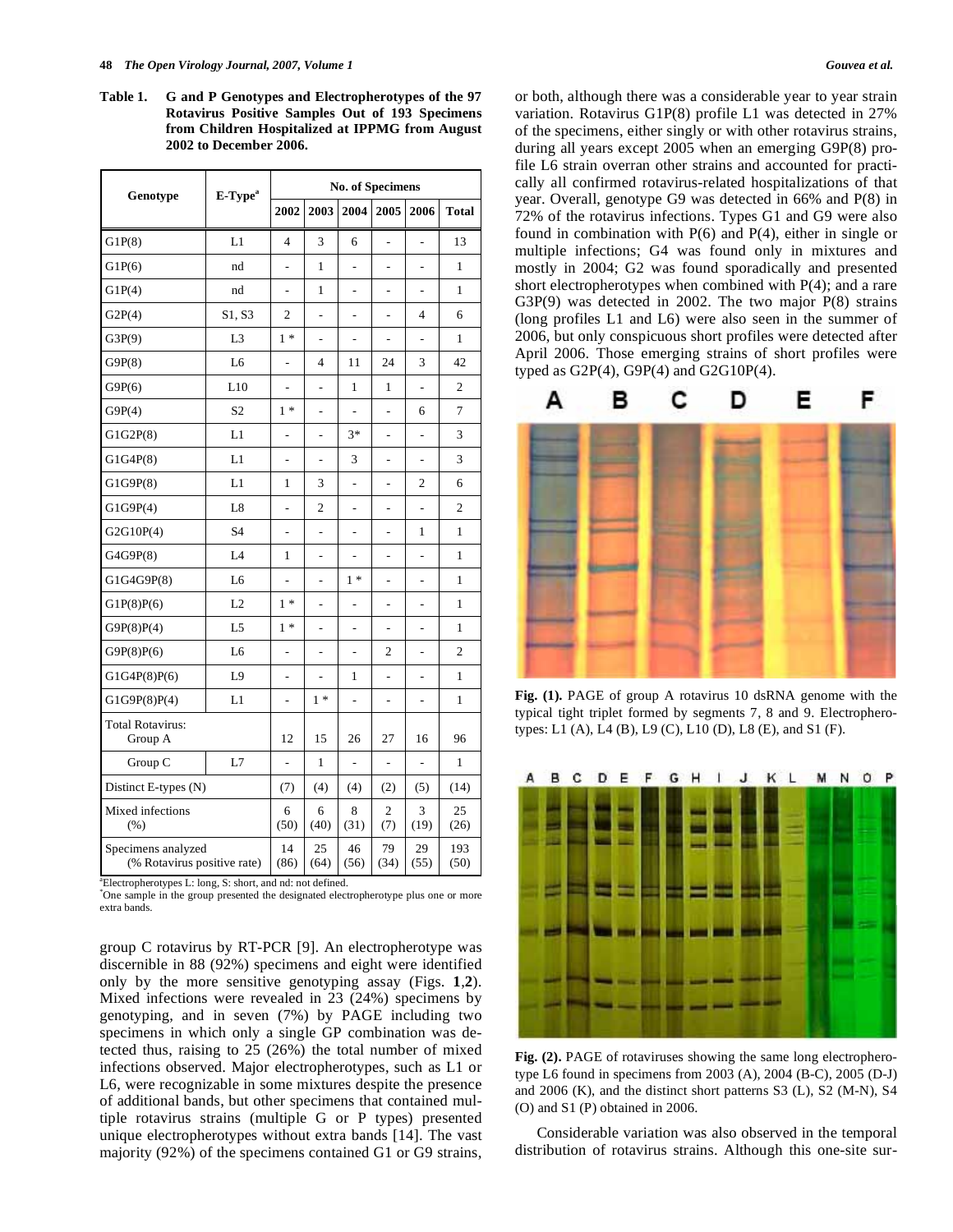**Table 1. G and P Genotypes and Electropherotypes of the 97 Rotavirus Positive Samples Out of 193 Specimens from Children Hospitalized at IPPMG from August 2002 to December 2006.** 

| Genotype                                          | E-Type <sup>a</sup> | <b>No. of Specimens</b> |                |                |                          |                |                |  |
|---------------------------------------------------|---------------------|-------------------------|----------------|----------------|--------------------------|----------------|----------------|--|
|                                                   |                     | 2002                    | 2003           | 2004           | 2005                     | 2006           | <b>Total</b>   |  |
| G1P(8)                                            | L1                  | $\overline{4}$          | 3              | 6              | $\overline{a}$           |                | 13             |  |
| G1P(6)                                            | nd                  |                         | 1              | L              | L,                       |                | 1              |  |
| G1P(4)                                            | nd                  | $\overline{a}$          | $\mathbf{1}$   | $\overline{a}$ | $\overline{a}$           | $\overline{a}$ | $\mathbf{1}$   |  |
| G2P(4)                                            | S1, S3              | $\overline{c}$          |                | L,             |                          | 4              | 6              |  |
| G3P(9)                                            | L <sub>3</sub>      | $1*$                    | ÷,             | -              | $\overline{a}$           | L,             | $\mathbf{1}$   |  |
| G9P(8)                                            | L <sub>6</sub>      | -                       | 4              | 11             | 24                       | 3              | 42             |  |
| G9P(6)                                            | L10                 | $\overline{a}$          | L.             | 1              | $\mathbf{1}$             | $\overline{a}$ | $\overline{c}$ |  |
| G9P(4)                                            | S <sub>2</sub>      | $1 *$                   | $\overline{a}$ | L              | L,                       | 6              | 7              |  |
| G1G2P(8)                                          | L1                  |                         |                | $3*$           |                          |                | 3              |  |
| G1G4P(8)                                          | L1                  | $\overline{a}$          | ÷,             | 3              | $\overline{a}$           | ÷,             | 3              |  |
| G1G9P(8)                                          | L1                  | 1                       | 3              | $\overline{a}$ | ÷.                       | 2              | 6              |  |
| G1G9P(4)                                          | L8                  | -                       | 2              | -              | $\overline{\phantom{0}}$ | $\overline{a}$ | $\overline{c}$ |  |
| G2G10P(4)                                         | S <sub>4</sub>      | $\overline{a}$          | $\overline{a}$ | $\overline{a}$ | $\overline{a}$           | 1              | 1              |  |
| G4G9P(8)                                          | IA                  | 1                       |                |                | $\overline{a}$           |                | $\mathbf{1}$   |  |
| G1G4G9P(8)                                        | L <sub>6</sub>      |                         | $\overline{a}$ | $1*$           |                          | L,             | $\mathbf{1}$   |  |
| G1P(8)P(6)                                        | L2                  | $1*$                    |                | L,             |                          |                | $\mathbf{1}$   |  |
| G9P(8)P(4)                                        | L <sub>5</sub>      | $1*$                    | $\overline{a}$ | $\overline{a}$ | $\overline{a}$           | -              | $\mathbf{1}$   |  |
| G9P(8)P(6)                                        | L <sub>6</sub>      | $\overline{a}$          | ÷,             | L              | $\overline{c}$           | L,             | $\overline{c}$ |  |
| G1G4P(8)P(6)                                      | L9                  |                         |                | 1              | $\overline{a}$           |                | $\mathbf{1}$   |  |
| G1G9P(8)P(4)                                      | L1                  | -                       | $1 *$          | $\overline{a}$ | $\overline{a}$           | $\overline{a}$ | $\mathbf{1}$   |  |
| Total Rotavirus:<br>Group A                       |                     | 12                      | 15             | 26             | 27                       | 16             | 96             |  |
| Group C                                           | L7                  |                         | $\mathbf{1}$   |                |                          |                | 1              |  |
| Distinct E-types (N)                              |                     | (7)                     | (4)            | (4)            | (2)                      | (5)            | (14)           |  |
| Mixed infections<br>(% )                          |                     | 6<br>(50)               | 6<br>(40)      | 8<br>(31)      | 2<br>(7)                 | 3<br>(19)      | 25<br>(26)     |  |
| Specimens analyzed<br>(% Rotavirus positive rate) |                     | 14<br>(86)              | 25<br>(64)     | 46<br>(56)     | 79<br>(34)               | 29<br>(55)     | 193<br>(50)    |  |

<sup>a</sup> Electropherotypes L: long, S: short, and nd: not defined.

\* One sample in the group presented the designated electropherotype plus one or more extra bands.

group C rotavirus by RT-PCR [9]. An electropherotype was discernible in 88 (92%) specimens and eight were identified only by the more sensitive genotyping assay (Figs. **1**,**2**). Mixed infections were revealed in 23 (24%) specimens by genotyping, and in seven (7%) by PAGE including two specimens in which only a single GP combination was detected thus, raising to 25 (26%) the total number of mixed infections observed. Major electropherotypes, such as L1 or L6, were recognizable in some mixtures despite the presence of additional bands, but other specimens that contained multiple rotavirus strains (multiple G or P types) presented unique electropherotypes without extra bands [14]. The vast majority (92%) of the specimens contained G1 or G9 strains,

or both, although there was a considerable year to year strain variation. Rotavirus G1P(8) profile L1 was detected in 27% of the specimens, either singly or with other rotavirus strains, during all years except 2005 when an emerging G9P(8) profile L6 strain overran other strains and accounted for practically all confirmed rotavirus-related hospitalizations of that year. Overall, genotype G9 was detected in 66% and P(8) in 72% of the rotavirus infections. Types G1 and G9 were also found in combination with  $P(6)$  and  $P(4)$ , either in single or multiple infections; G4 was found only in mixtures and mostly in 2004; G2 was found sporadically and presented short electropherotypes when combined with P(4); and a rare G3P(9) was detected in 2002. The two major P(8) strains (long profiles L1 and L6) were also seen in the summer of 2006, but only conspicuous short profiles were detected after April 2006. Those emerging strains of short profiles were typed as G2P(4), G9P(4) and G2G10P(4).



**Fig. (1).** PAGE of group A rotavirus 10 dsRNA genome with the typical tight triplet formed by segments 7, 8 and 9. Electropherotypes: L1 (A), L4 (B), L9 (C), L10 (D), L8 (E), and S1 (F).



**Fig. (2).** PAGE of rotaviruses showing the same long electropherotype L6 found in specimens from 2003 (A), 2004 (B-C), 2005 (D-J) and 2006 (K), and the distinct short patterns S3 (L), S2 (M-N), S4 (O) and S1 (P) obtained in 2006.

 Considerable variation was also observed in the temporal distribution of rotavirus strains. Although this one-site sur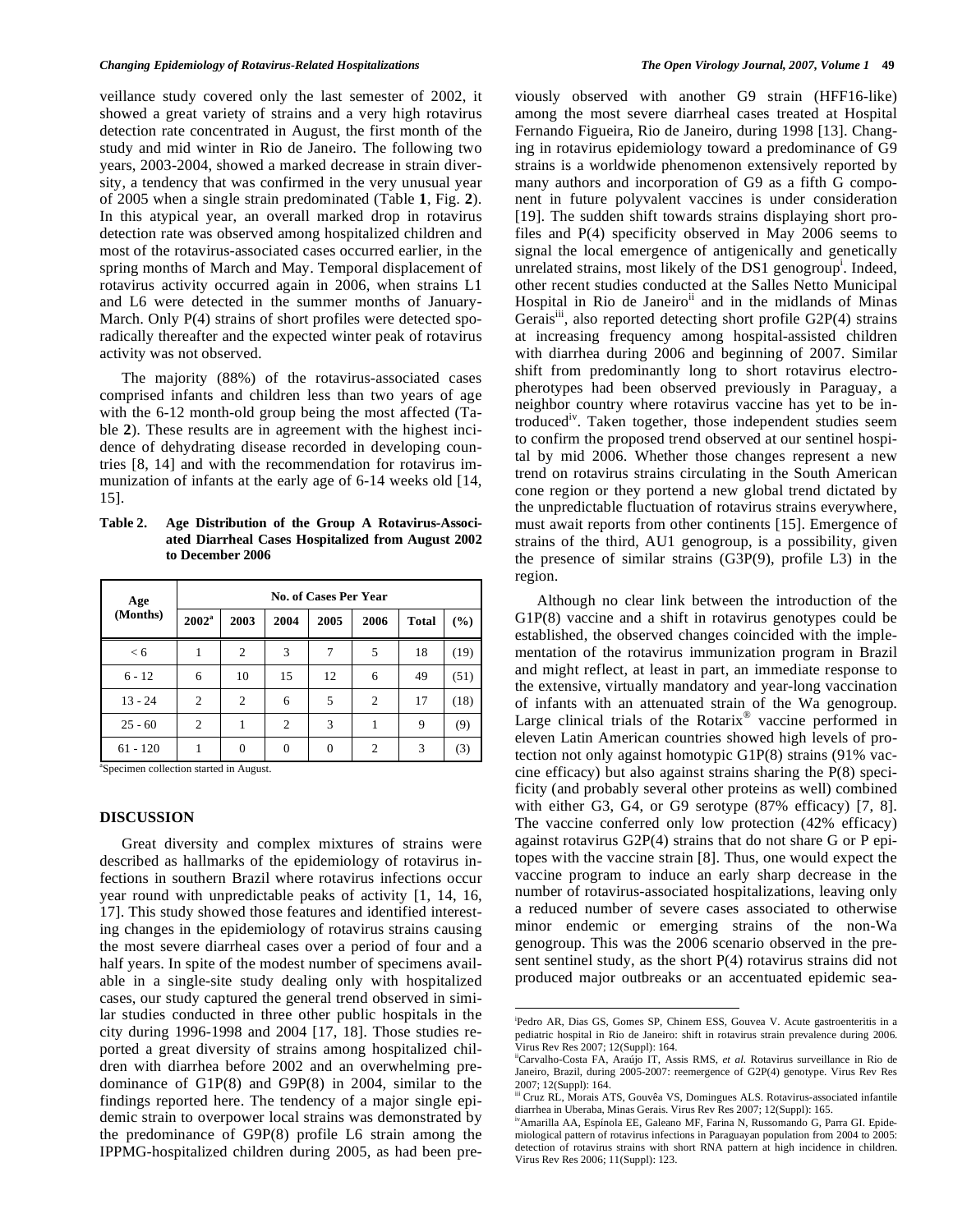veillance study covered only the last semester of 2002, it showed a great variety of strains and a very high rotavirus detection rate concentrated in August, the first month of the study and mid winter in Rio de Janeiro. The following two years, 2003-2004, showed a marked decrease in strain diversity, a tendency that was confirmed in the very unusual year of 2005 when a single strain predominated (Table **1**, Fig. **2**). In this atypical year, an overall marked drop in rotavirus detection rate was observed among hospitalized children and most of the rotavirus-associated cases occurred earlier, in the spring months of March and May. Temporal displacement of rotavirus activity occurred again in 2006, when strains L1 and L6 were detected in the summer months of January-March. Only  $P(4)$  strains of short profiles were detected sporadically thereafter and the expected winter peak of rotavirus activity was not observed.

 The majority (88%) of the rotavirus-associated cases comprised infants and children less than two years of age with the 6-12 month-old group being the most affected (Table **2**). These results are in agreement with the highest incidence of dehydrating disease recorded in developing countries [8, 14] and with the recommendation for rotavirus immunization of infants at the early age of 6-14 weeks old [14, 15].

**Table 2. Age Distribution of the Group A Rotavirus-Associated Diarrheal Cases Hospitalized from August 2002 to December 2006** 

| Age<br>(Months) | No. of Cases Per Year |      |                |          |                |              |               |  |  |  |
|-----------------|-----------------------|------|----------------|----------|----------------|--------------|---------------|--|--|--|
|                 | $2002^a$              | 2003 | 2004           | 2005     | 2006           | <b>Total</b> | $\frac{0}{0}$ |  |  |  |
| < 6             |                       | 2    | 3              | 7        | 5              | 18           | (19)          |  |  |  |
| $6 - 12$        | 6                     | 10   | 15             | 12       | 6              | 49           | (51)          |  |  |  |
| $13 - 24$       | $\overline{c}$        | 2    | 6              | 5        | $\overline{c}$ | 17           | (18)          |  |  |  |
| $25 - 60$       | 2                     | 1    | $\overline{2}$ | 3        |                | 9            | (9)           |  |  |  |
| $61 - 120$      |                       | 0    | $\theta$       | $\Omega$ | $\overline{c}$ | 3            | (3)           |  |  |  |

a Specimen collection started in August.

## **DISCUSSION**

 Great diversity and complex mixtures of strains were described as hallmarks of the epidemiology of rotavirus infections in southern Brazil where rotavirus infections occur year round with unpredictable peaks of activity [1, 14, 16, 17]. This study showed those features and identified interesting changes in the epidemiology of rotavirus strains causing the most severe diarrheal cases over a period of four and a half years. In spite of the modest number of specimens available in a single-site study dealing only with hospitalized cases, our study captured the general trend observed in similar studies conducted in three other public hospitals in the city during 1996-1998 and 2004 [17, 18]. Those studies reported a great diversity of strains among hospitalized children with diarrhea before 2002 and an overwhelming predominance of G1P(8) and G9P(8) in 2004, similar to the findings reported here. The tendency of a major single epidemic strain to overpower local strains was demonstrated by the predominance of G9P(8) profile L6 strain among the IPPMG-hospitalized children during 2005, as had been previously observed with another G9 strain (HFF16-like) among the most severe diarrheal cases treated at Hospital Fernando Figueira, Rio de Janeiro, during 1998 [13]. Changing in rotavirus epidemiology toward a predominance of G9 strains is a worldwide phenomenon extensively reported by many authors and incorporation of G9 as a fifth G component in future polyvalent vaccines is under consideration [19]. The sudden shift towards strains displaying short profiles and P(4) specificity observed in May 2006 seems to signal the local emergence of antigenically and genetically unrelated strains, most likely of the DS1 genogroup<sup>i</sup>. Indeed, other recent studies conducted at the Salles Netto Municipal Hospital in Rio de Janeiro<sup>ii</sup> and in the midlands of Minas Gerais<sup>iii</sup>, also reported detecting short profile  $G2P(4)$  strains at increasing frequency among hospital-assisted children with diarrhea during 2006 and beginning of 2007. Similar shift from predominantly long to short rotavirus electropherotypes had been observed previously in Paraguay, a neighbor country where rotavirus vaccine has yet to be introduced<sup>iv</sup>. Taken together, those independent studies seem to confirm the proposed trend observed at our sentinel hospital by mid 2006. Whether those changes represent a new trend on rotavirus strains circulating in the South American cone region or they portend a new global trend dictated by the unpredictable fluctuation of rotavirus strains everywhere, must await reports from other continents [15]. Emergence of strains of the third, AU1 genogroup, is a possibility, given the presence of similar strains (G3P(9), profile L3) in the region.

 Although no clear link between the introduction of the G1P(8) vaccine and a shift in rotavirus genotypes could be established, the observed changes coincided with the implementation of the rotavirus immunization program in Brazil and might reflect, at least in part, an immediate response to the extensive, virtually mandatory and year-long vaccination of infants with an attenuated strain of the Wa genogroup. Large clinical trials of the Rotarix<sup>®</sup> vaccine performed in eleven Latin American countries showed high levels of protection not only against homotypic G1P(8) strains (91% vaccine efficacy) but also against strains sharing the P(8) specificity (and probably several other proteins as well) combined with either G3, G4, or G9 serotype (87% efficacy) [7, 8]. The vaccine conferred only low protection (42% efficacy) against rotavirus G2P(4) strains that do not share G or P epitopes with the vaccine strain [8]. Thus, one would expect the vaccine program to induce an early sharp decrease in the number of rotavirus-associated hospitalizations, leaving only a reduced number of severe cases associated to otherwise minor endemic or emerging strains of the non-Wa genogroup. This was the 2006 scenario observed in the present sentinel study, as the short P(4) rotavirus strains did not produced major outbreaks or an accentuated epidemic sea-

l

i Pedro AR, Dias GS, Gomes SP, Chinem ESS, Gouvea V. Acute gastroenteritis in a pediatric hospital in Rio de Janeiro: shift in rotavirus strain prevalence during 2006. Virus Rev Res 2007; 12(Suppl): 164.

iiCarvalho-Costa FA, Araújo IT, Assis RMS, *et al.* Rotavirus surveillance in Rio de Janeiro, Brazil, during 2005-2007: reemergence of G2P(4) genotype. Virus Rev Res 2007; 12(Suppl): 164.

iii Cruz RL, Morais ATS, Gouvêa VS, Domingues ALS. Rotavirus-associated infantile diarrhea in Uberaba, Minas Gerais. Virus Rev Res 2007; 12(Suppl): 165.

ivAmarilla AA, Espínola EE, Galeano MF, Farina N, Russomando G, Parra GI. Epidemiological pattern of rotavirus infections in Paraguayan population from 2004 to 2005: detection of rotavirus strains with short RNA pattern at high incidence in children. Virus Rev Res 2006; 11(Suppl): 123.